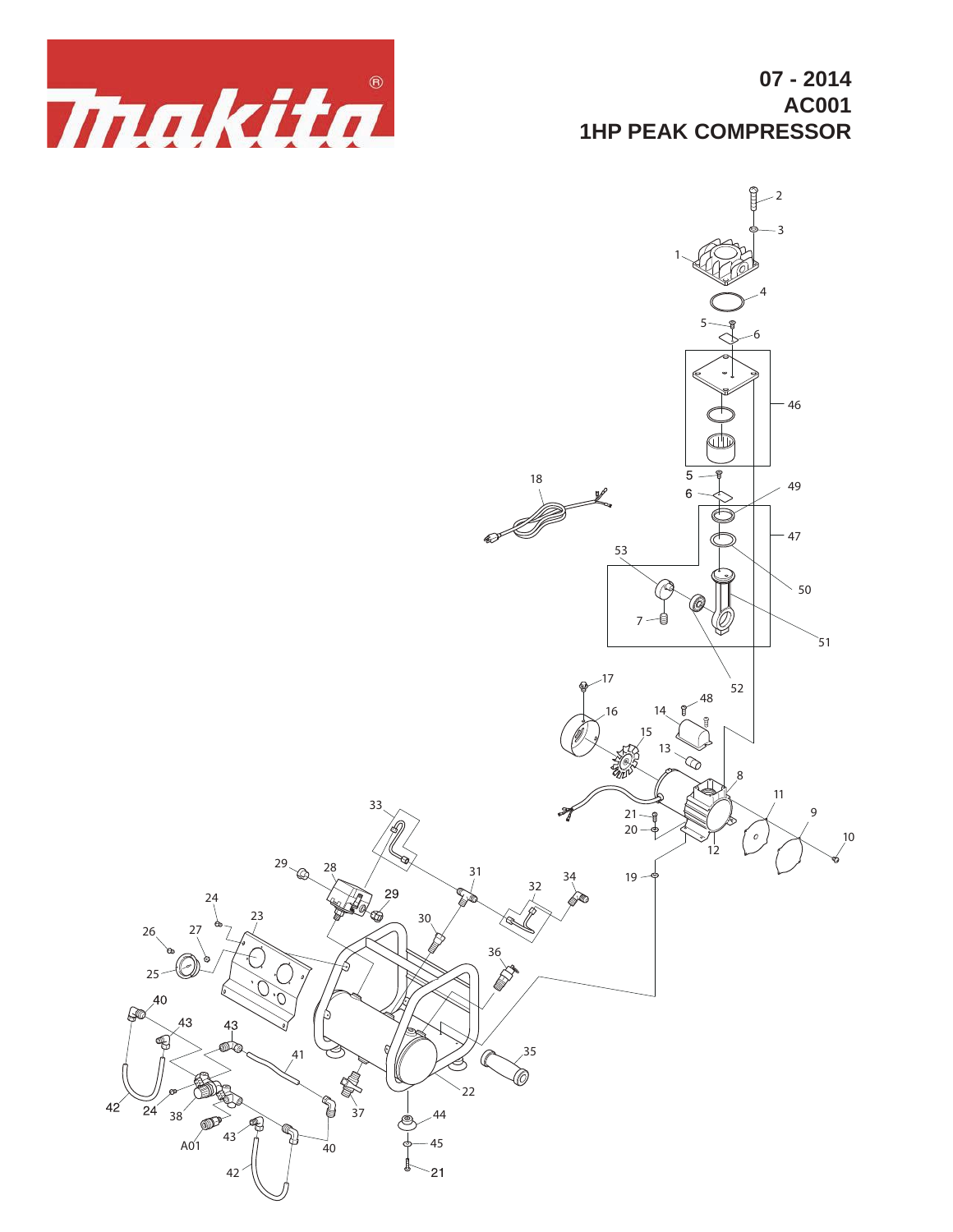

**07 - 2014 AC001 1HP PEAK COMPRESSOR**

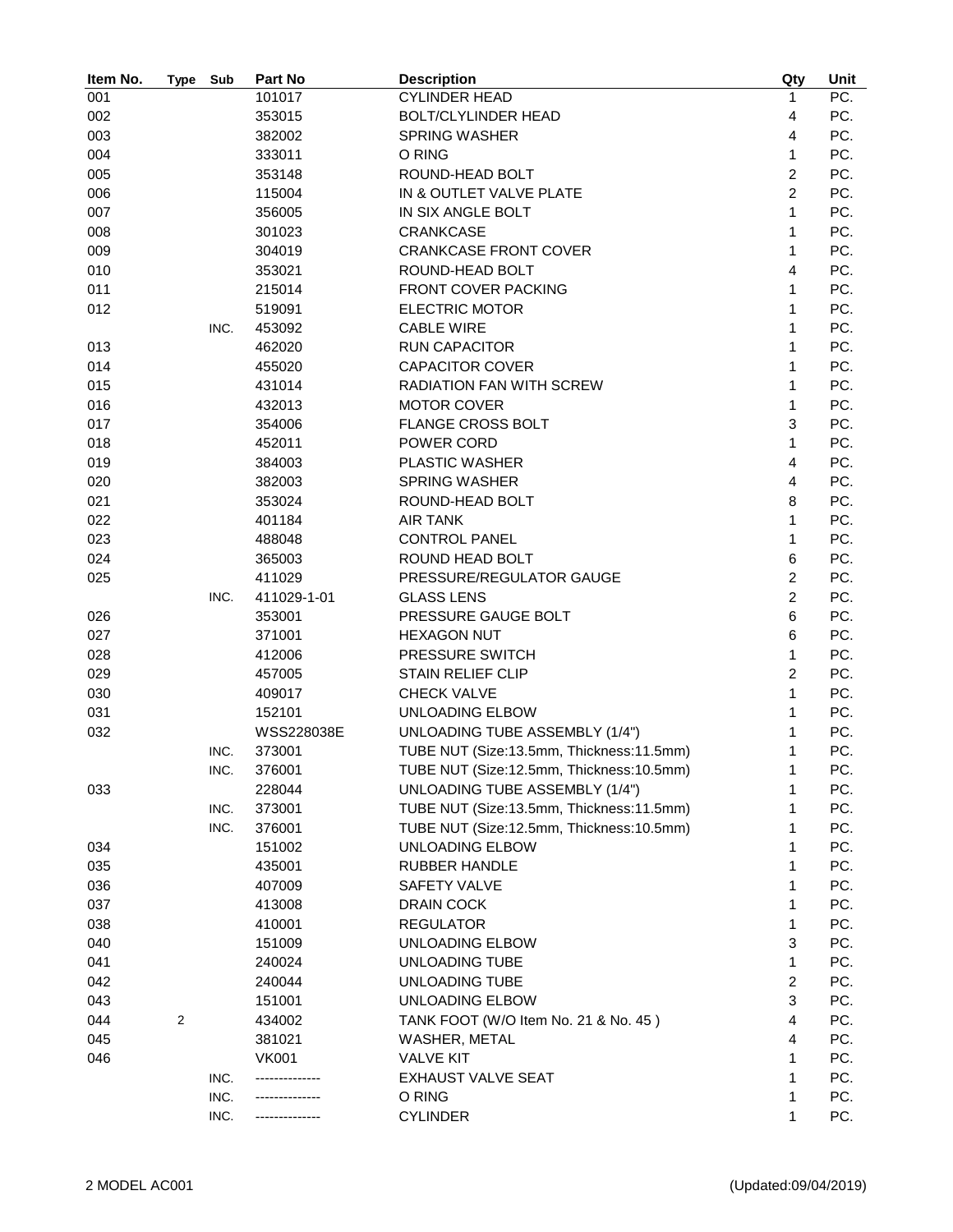| Item No. | <b>Type</b>    | Sub  | Part No      | <b>Description</b>                           | Qty                     | Unit |
|----------|----------------|------|--------------|----------------------------------------------|-------------------------|------|
| 001      |                |      | 101017       | <b>CYLINDER HEAD</b>                         | 1                       | PC.  |
| 002      |                |      | 353015       | <b>BOLT/CLYLINDER HEAD</b>                   | 4                       | PC.  |
| 003      |                |      | 382002       | <b>SPRING WASHER</b>                         | $\overline{4}$          | PC.  |
| 004      |                |      | 333011       | O RING                                       | 1                       | PC.  |
| 005      |                |      | 353148       | ROUND-HEAD BOLT                              | $\overline{c}$          | PC.  |
| 006      |                |      | 115004       | IN & OUTLET VALVE PLATE                      | $\overline{2}$          | PC.  |
| 007      |                |      | 356005       | IN SIX ANGLE BOLT                            | $\mathbf{1}$            | PC.  |
| 008      |                |      | 301023       | <b>CRANKCASE</b>                             | $\mathbf{1}$            | PC.  |
| 009      |                |      | 304019       | <b>CRANKCASE FRONT COVER</b>                 | 1                       | PC.  |
| 010      |                |      | 353021       | ROUND-HEAD BOLT                              | 4                       | PC.  |
| 011      |                |      | 215014       | FRONT COVER PACKING                          | 1                       | PC.  |
| 012      |                |      | 519091       | <b>ELECTRIC MOTOR</b>                        | 1                       | PC.  |
|          |                | INC. | 453092       | <b>CABLE WIRE</b>                            | 1                       | PC.  |
| 013      |                |      | 462020       | <b>RUN CAPACITOR</b>                         | 1                       | PC.  |
| 014      |                |      | 455020       | <b>CAPACITOR COVER</b>                       | 1                       | PC.  |
| 015      |                |      | 431014       | RADIATION FAN WITH SCREW                     | 1                       | PC.  |
| 016      |                |      | 432013       | <b>MOTOR COVER</b>                           | 1                       | PC.  |
| 017      |                |      | 354006       | <b>FLANGE CROSS BOLT</b>                     | $\mathbf{3}$            | PC.  |
| 018      |                |      | 452011       | POWER CORD                                   | 1                       | PC.  |
| 019      |                |      | 384003       | PLASTIC WASHER                               | $\overline{4}$          | PC.  |
| 020      |                |      | 382003       | <b>SPRING WASHER</b>                         | $\overline{4}$          | PC.  |
| 021      |                |      | 353024       | ROUND-HEAD BOLT                              | 8                       | PC.  |
| 022      |                |      | 401184       | <b>AIR TANK</b>                              | 1                       | PC.  |
| 023      |                |      | 488048       | <b>CONTROL PANEL</b>                         | 1                       | PC.  |
| 024      |                |      | 365003       | ROUND HEAD BOLT                              | 6                       | PC.  |
| 025      |                |      | 411029       | PRESSURE/REGULATOR GAUGE                     | $\overline{c}$          | PC.  |
|          |                | INC. | 411029-1-01  | <b>GLASS LENS</b>                            | $\overline{2}$          | PC.  |
| 026      |                |      | 353001       | PRESSURE GAUGE BOLT                          | $6\phantom{1}$          | PC.  |
| 027      |                |      | 371001       | <b>HEXAGON NUT</b>                           | 6                       | PC.  |
|          |                |      |              |                                              | 1                       | PC.  |
| 028      |                |      | 412006       | PRESSURE SWITCH                              | $\overline{2}$          | PC.  |
| 029      |                |      | 457005       | <b>STAIN RELIEF CLIP</b>                     | $\mathbf{1}$            | PC.  |
| 030      |                |      | 409017       | <b>CHECK VALVE</b><br><b>UNLOADING ELBOW</b> |                         |      |
| 031      |                |      | 152101       |                                              | 1                       | PC.  |
| 032      |                |      | WSS228038E   | UNLOADING TUBE ASSEMBLY (1/4")               | 1                       | PC.  |
|          |                | INC. | 373001       | TUBE NUT (Size:13.5mm, Thickness:11.5mm)     | 1                       | PC.  |
|          |                | INC. | 376001       | TUBE NUT (Size:12.5mm, Thickness:10.5mm)     | 1                       | PC.  |
| 033      |                |      | 228044       | <b>UNLOADING TUBE ASSEMBLY (1/4")</b>        | 1                       | PC.  |
|          |                | INC. | 373001       | TUBE NUT (Size:13.5mm, Thickness:11.5mm)     | 1                       | PC.  |
|          |                | INC. | 376001       | TUBE NUT (Size:12.5mm, Thickness:10.5mm)     | 1                       | PC.  |
| 034      |                |      | 151002       | UNLOADING ELBOW                              | 1                       | PC.  |
| 035      |                |      | 435001       | <b>RUBBER HANDLE</b>                         | 1                       | PC.  |
| 036      |                |      | 407009       | SAFETY VALVE                                 | 1                       | PC.  |
| 037      |                |      | 413008       | DRAIN COCK                                   | 1                       | PC.  |
| 038      |                |      | 410001       | <b>REGULATOR</b>                             | 1                       | PC.  |
| 040      |                |      | 151009       | UNLOADING ELBOW                              | 3                       | PC.  |
| 041      |                |      | 240024       | UNLOADING TUBE                               | 1                       | PC.  |
| 042      |                |      | 240044       | UNLOADING TUBE                               | $\boldsymbol{2}$        | PC.  |
| 043      |                |      | 151001       | UNLOADING ELBOW                              | 3                       | PC.  |
| 044      | $\overline{2}$ |      | 434002       | TANK FOOT (W/O Item No. 21 & No. 45)         | $\overline{\mathbf{4}}$ | PC.  |
| 045      |                |      | 381021       | WASHER, METAL                                | 4                       | PC.  |
| 046      |                |      | <b>VK001</b> | <b>VALVE KIT</b>                             | 1                       | PC.  |
|          |                | INC. |              | EXHAUST VALVE SEAT                           | 1                       | PC.  |
|          |                | INC. |              | O RING                                       | 1                       | PC.  |
|          |                | INC. |              | <b>CYLINDER</b>                              | 1                       | PC.  |